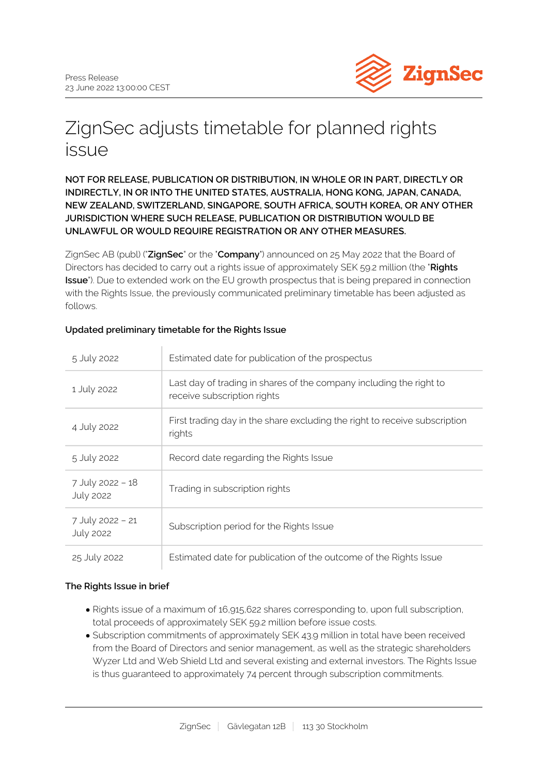

# ZignSec adjusts timetable for planned rights issue

# **NOT FOR RELEASE, PUBLICATION OR DISTRIBUTION, IN WHOLE OR IN PART, DIRECTLY OR INDIRECTLY, IN OR INTO THE UNITED STATES, AUSTRALIA, HONG KONG, JAPAN, CANADA, NEW ZEALAND, SWITZERLAND, SINGAPORE, SOUTH AFRICA, SOUTH KOREA, OR ANY OTHER JURISDICTION WHERE SUCH RELEASE, PUBLICATION OR DISTRIBUTION WOULD BE UNLAWFUL OR WOULD REQUIRE REGISTRATION OR ANY OTHER MEASURES.**

ZignSec AB (publ) ("**ZignSec**" or the "**Company**") announced on 25 May 2022 that the Board of Directors has decided to carry out a rights issue of approximately SEK 59.2 million (the "**Rights Issue**"). Due to extended work on the EU growth prospectus that is being prepared in connection with the Rights Issue, the previously communicated preliminary timetable has been adjusted as follows.

| 5 July 2022                          | Estimated date for publication of the prospectus                                                   |
|--------------------------------------|----------------------------------------------------------------------------------------------------|
| 1 July 2022                          | Last day of trading in shares of the company including the right to<br>receive subscription rights |
| 4 July 2022                          | First trading day in the share excluding the right to receive subscription<br>rights               |
| 5 July 2022                          | Record date regarding the Rights Issue                                                             |
| 7 July 2022 - 18<br><b>July 2022</b> | Trading in subscription rights                                                                     |
| 7 July 2022 - 21<br><b>July 2022</b> | Subscription period for the Rights Issue                                                           |
| 25 July 2022                         | Estimated date for publication of the outcome of the Rights Issue                                  |

# **Updated preliminary timetable for the Rights Issue**

# **The Rights Issue in brief**

- Rights issue of a maximum of 16,915,622 shares corresponding to, upon full subscription, total proceeds of approximately SEK 59.2 million before issue costs.
- Subscription commitments of approximately SEK 43.9 million in total have been received from the Board of Directors and senior management, as well as the strategic shareholders Wyzer Ltd and Web Shield Ltd and several existing and external investors. The Rights Issue is thus guaranteed to approximately 74 percent through subscription commitments.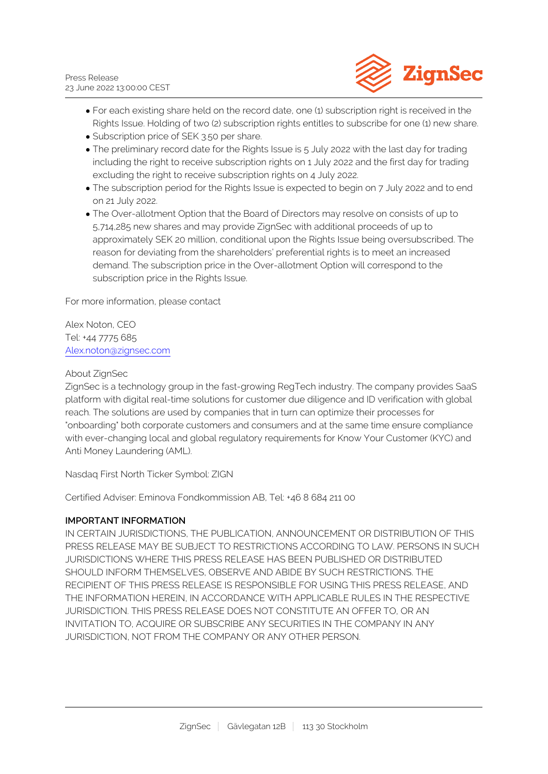

- For each existing share held on the record date, one (1) subscription right is received in the Rights Issue. Holding of two (2) subscription rights entitles to subscribe for one (1) new share.
- Subscription price of SEK 3.50 per share.
- The preliminary record date for the Rights Issue is 5 July 2022 with the last day for trading including the right to receive subscription rights on 1 July 2022 and the first day for trading excluding the right to receive subscription rights on 4 July 2022.
- The subscription period for the Rights Issue is expected to begin on 7 July 2022 and to end on 21 July 2022.
- The Over-allotment Option that the Board of Directors may resolve on consists of up to 5,714,285 new shares and may provide ZignSec with additional proceeds of up to approximately SEK 20 million, conditional upon the Rights Issue being oversubscribed. The reason for deviating from the shareholders' preferential rights is to meet an increased demand. The subscription price in the Over-allotment Option will correspond to the subscription price in the Rights Issue.

For more information, please contact

Alex Noton, CEO Tel: +44 7775 685 [Alex.noton@zignsec.com](mailto:Alex.noton@zignsec.com)

## About ZignSec

ZignSec is a technology group in the fast-growing RegTech industry. The company provides SaaS platform with digital real-time solutions for customer due diligence and ID verification with global reach. The solutions are used by companies that in turn can optimize their processes for "onboarding" both corporate customers and consumers and at the same time ensure compliance with ever-changing local and global regulatory requirements for Know Your Customer (KYC) and Anti Money Laundering (AML).

Nasdaq First North Ticker Symbol: ZIGN

Certified Adviser: Eminova Fondkommission AB, Tel: +46 8 684 211 00

## **IMPORTANT INFORMATION**

IN CERTAIN JURISDICTIONS, THE PUBLICATION, ANNOUNCEMENT OR DISTRIBUTION OF THIS PRESS RELEASE MAY BE SUBJECT TO RESTRICTIONS ACCORDING TO LAW. PERSONS IN SUCH JURISDICTIONS WHERE THIS PRESS RELEASE HAS BEEN PUBLISHED OR DISTRIBUTED SHOULD INFORM THEMSELVES, OBSERVE AND ABIDE BY SUCH RESTRICTIONS. THE RECIPIENT OF THIS PRESS RELEASE IS RESPONSIBLE FOR USING THIS PRESS RELEASE, AND THE INFORMATION HEREIN, IN ACCORDANCE WITH APPLICABLE RULES IN THE RESPECTIVE JURISDICTION. THIS PRESS RELEASE DOES NOT CONSTITUTE AN OFFER TO, OR AN INVITATION TO, ACQUIRE OR SUBSCRIBE ANY SECURITIES IN THE COMPANY IN ANY JURISDICTION, NOT FROM THE COMPANY OR ANY OTHER PERSON.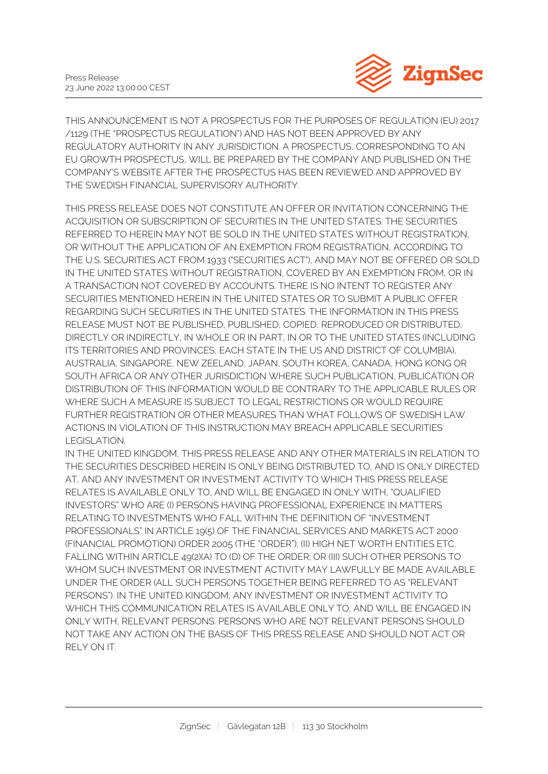

THIS ANNOUNCEMENT IS NOT A PROSPECTUS FOR THE PURPOSES OF REGULATION (EU) 2017 /1129 (THE "PROSPECTUS REGULATION") AND HAS NOT BEEN APPROVED BY ANY REGULATORY AUTHORITY IN ANY JURISDICTION. A PROSPECTUS, CORRESPONDING TO AN EU GROWTH PROSPECTUS, WILL BE PREPARED BY THE COMPANY AND PUBLISHED ON THE COMPANY'S WEBSITE AFTER THE PROSPECTUS HAS BEEN REVIEWED AND APPROVED BY THE SWEDISH FINANCIAL SUPERVISORY AUTHORITY.

THIS PRESS RELEASE DOES NOT CONSTITUTE AN OFFER OR INVITATION CONCERNING THE ACQUISITION OR SUBSCRIPTION OF SECURITIES IN THE UNITED STATES. THE SECURITIES REFERRED TO HEREIN MAY NOT BE SOLD IN THE UNITED STATES WITHOUT REGISTRATION, OR WITHOUT THE APPLICATION OF AN EXEMPTION FROM REGISTRATION, ACCORDING TO THE U.S. SECURITIES ACT FROM 1933 ("SECURITIES ACT"), AND MAY NOT BE OFFERED OR SOLD IN THE UNITED STATES WITHOUT REGISTRATION, COVERED BY AN EXEMPTION FROM, OR IN A TRANSACTION NOT COVERED BY ACCOUNTS. THERE IS NO INTENT TO REGISTER ANY SECURITIES MENTIONED HEREIN IN THE UNITED STATES OR TO SUBMIT A PUBLIC OFFER REGARDING SUCH SECURITIES IN THE UNITED STATES. THE INFORMATION IN THIS PRESS RELEASE MUST NOT BE PUBLISHED, PUBLISHED, COPIED, REPRODUCED OR DISTRIBUTED, DIRECTLY OR INDIRECTLY, IN WHOLE OR IN PART, IN OR TO THE UNITED STATES (INCLUDING ITS TERRITORIES AND PROVINCES, EACH STATE IN THE US AND DISTRICT OF COLUMBIA), AUSTRALIA, SINGAPORE, NEW ZEELAND, JAPAN, SOUTH KOREA, CANADA, HONG KONG OR SOUTH AFRICA OR ANY OTHER JURISDICTION WHERE SUCH PUBLICATION, PUBLICATION OR DISTRIBUTION OF THIS INFORMATION WOULD BE CONTRARY TO THE APPLICABLE RULES OR WHERE SUCH A MEASURE IS SUBJECT TO LEGAL RESTRICTIONS OR WOULD REQUIRE FURTHER REGISTRATION OR OTHER MEASURES THAN WHAT FOLLOWS OF SWEDISH LAW. ACTIONS IN VIOLATION OF THIS INSTRUCTION MAY BREACH APPLICABLE SECURITIES LEGISLATION.

IN THE UNITED KINGDOM, THIS PRESS RELEASE AND ANY OTHER MATERIALS IN RELATION TO THE SECURITIES DESCRIBED HEREIN IS ONLY BEING DISTRIBUTED TO, AND IS ONLY DIRECTED AT, AND ANY INVESTMENT OR INVESTMENT ACTIVITY TO WHICH THIS PRESS RELEASE RELATES IS AVAILABLE ONLY TO, AND WILL BE ENGAGED IN ONLY WITH, "QUALIFIED INVESTORS" WHO ARE (I) PERSONS HAVING PROFESSIONAL EXPERIENCE IN MATTERS RELATING TO INVESTMENTS WHO FALL WITHIN THE DEFINITION OF "INVESTMENT PROFESSIONALS" IN ARTICLE 19(5) OF THE FINANCIAL SERVICES AND MARKETS ACT 2000 (FINANCIAL PROMOTION) ORDER 2005 (THE "ORDER"); (II) HIGH NET WORTH ENTITIES ETC. FALLING WITHIN ARTICLE 49(2)(A) TO (D) OF THE ORDER; OR (III) SUCH OTHER PERSONS TO WHOM SUCH INVESTMENT OR INVESTMENT ACTIVITY MAY LAWFULLY BE MADE AVAILABLE UNDER THE ORDER (ALL SUCH PERSONS TOGETHER BEING REFERRED TO AS "RELEVANT PERSONS"). IN THE UNITED KINGDOM, ANY INVESTMENT OR INVESTMENT ACTIVITY TO WHICH THIS COMMUNICATION RELATES IS AVAILABLE ONLY TO, AND WILL BE ENGAGED IN ONLY WITH, RELEVANT PERSONS. PERSONS WHO ARE NOT RELEVANT PERSONS SHOULD NOT TAKE ANY ACTION ON THE BASIS OF THIS PRESS RELEASE AND SHOULD NOT ACT OR RELY ON IT.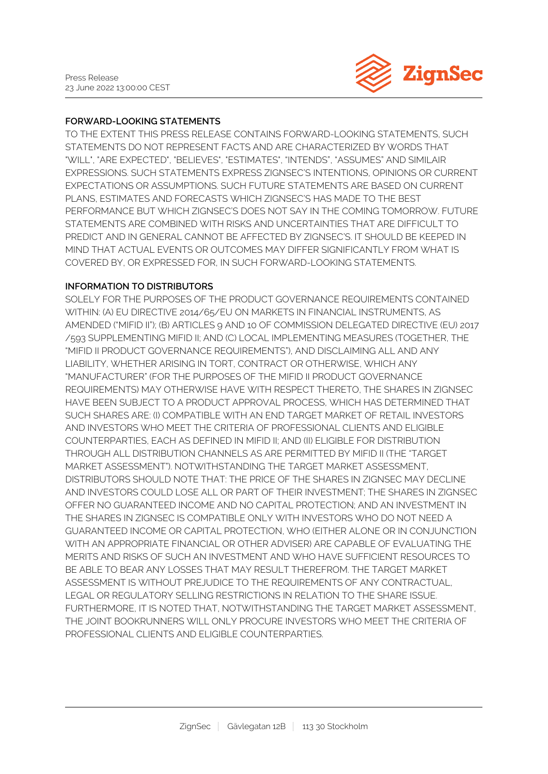

#### **FORWARD-LOOKING STATEMENTS**

TO THE EXTENT THIS PRESS RELEASE CONTAINS FORWARD-LOOKING STATEMENTS, SUCH STATEMENTS DO NOT REPRESENT FACTS AND ARE CHARACTERIZED BY WORDS THAT "WILL", "ARE EXPECTED", "BELIEVES", "ESTIMATES", "INTENDS", "ASSUMES" AND SIMILAIR EXPRESSIONS. SUCH STATEMENTS EXPRESS ZIGNSEC'S INTENTIONS, OPINIONS OR CURRENT EXPECTATIONS OR ASSUMPTIONS. SUCH FUTURE STATEMENTS ARE BASED ON CURRENT PLANS, ESTIMATES AND FORECASTS WHICH ZIGNSEC'S HAS MADE TO THE BEST PERFORMANCE BUT WHICH ZIGNSEC'S DOES NOT SAY IN THE COMING TOMORROW. FUTURE STATEMENTS ARE COMBINED WITH RISKS AND UNCERTAINTIES THAT ARE DIFFICULT TO PREDICT AND IN GENERAL CANNOT BE AFFECTED BY ZIGNSEC'S. IT SHOULD BE KEEPED IN MIND THAT ACTUAL EVENTS OR OUTCOMES MAY DIFFER SIGNIFICANTLY FROM WHAT IS COVERED BY, OR EXPRESSED FOR, IN SUCH FORWARD-LOOKING STATEMENTS.

#### **INFORMATION TO DISTRIBUTORS**

SOLELY FOR THE PURPOSES OF THE PRODUCT GOVERNANCE REQUIREMENTS CONTAINED WITHIN: (A) EU DIRECTIVE 2014/65/EU ON MARKETS IN FINANCIAL INSTRUMENTS, AS AMENDED ("MIFID II"); (B) ARTICLES 9 AND 10 OF COMMISSION DELEGATED DIRECTIVE (EU) 2017 /593 SUPPLEMENTING MIFID II; AND (C) LOCAL IMPLEMENTING MEASURES (TOGETHER, THE "MIFID II PRODUCT GOVERNANCE REQUIREMENTS"), AND DISCLAIMING ALL AND ANY LIABILITY, WHETHER ARISING IN TORT, CONTRACT OR OTHERWISE, WHICH ANY "MANUFACTURER" (FOR THE PURPOSES OF THE MIFID II PRODUCT GOVERNANCE REQUIREMENTS) MAY OTHERWISE HAVE WITH RESPECT THERETO, THE SHARES IN ZIGNSEC HAVE BEEN SUBJECT TO A PRODUCT APPROVAL PROCESS, WHICH HAS DETERMINED THAT SUCH SHARES ARE: (I) COMPATIBLE WITH AN END TARGET MARKET OF RETAIL INVESTORS AND INVESTORS WHO MEET THE CRITERIA OF PROFESSIONAL CLIENTS AND ELIGIBLE COUNTERPARTIES, EACH AS DEFINED IN MIFID II; AND (II) ELIGIBLE FOR DISTRIBUTION THROUGH ALL DISTRIBUTION CHANNELS AS ARE PERMITTED BY MIFID II (THE "TARGET MARKET ASSESSMENT"). NOTWITHSTANDING THE TARGET MARKET ASSESSMENT, DISTRIBUTORS SHOULD NOTE THAT: THE PRICE OF THE SHARES IN ZIGNSEC MAY DECLINE AND INVESTORS COULD LOSE ALL OR PART OF THEIR INVESTMENT; THE SHARES IN ZIGNSEC OFFER NO GUARANTEED INCOME AND NO CAPITAL PROTECTION; AND AN INVESTMENT IN THE SHARES IN ZIGNSEC IS COMPATIBLE ONLY WITH INVESTORS WHO DO NOT NEED A GUARANTEED INCOME OR CAPITAL PROTECTION, WHO (EITHER ALONE OR IN CONJUNCTION WITH AN APPROPRIATE FINANCIAL OR OTHER ADVISER) ARE CAPABLE OF EVALUATING THE MERITS AND RISKS OF SUCH AN INVESTMENT AND WHO HAVE SUFFICIENT RESOURCES TO BE ABLE TO BEAR ANY LOSSES THAT MAY RESULT THEREFROM. THE TARGET MARKET ASSESSMENT IS WITHOUT PREJUDICE TO THE REQUIREMENTS OF ANY CONTRACTUAL, LEGAL OR REGULATORY SELLING RESTRICTIONS IN RELATION TO THE SHARE ISSUE. FURTHERMORE, IT IS NOTED THAT, NOTWITHSTANDING THE TARGET MARKET ASSESSMENT, THE JOINT BOOKRUNNERS WILL ONLY PROCURE INVESTORS WHO MEET THE CRITERIA OF PROFESSIONAL CLIENTS AND ELIGIBLE COUNTERPARTIES.